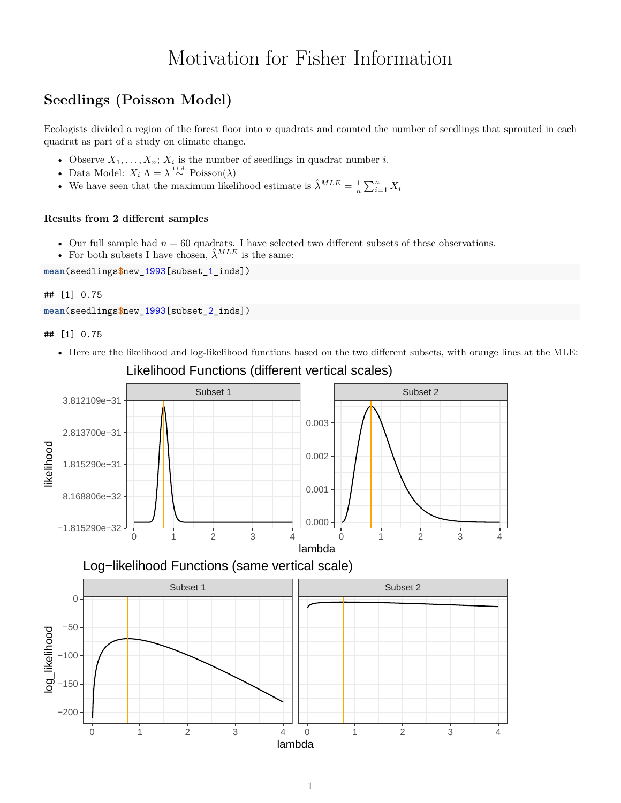# Motivation for Fisher Information

# **Seedlings (Poisson Model)**

Ecologists divided a region of the forest floor into *n* quadrats and counted the number of seedlings that sprouted in each quadrat as part of a study on climate change.

- Observe  $X_1, \ldots, X_n$ ;  $X_i$  is the number of seedlings in quadrat number *i*.
- Data Model:  $X_i | \Lambda = \lambda \stackrel{\text{i.i.d.}}{\sim} \text{Poisson}(\lambda)$
- We have seen that the maximum likelihood estimate is  $\hat{\lambda}^{MLE} = \frac{1}{n} \sum_{i=1}^{n} X_i$

## **Results from 2 different samples**

- Our full sample had  $n = 60$  quadrats. I have selected two different subsets of these observations.
- For both subsets I have chosen,  $\hat{\lambda}^{MLE}$  is the same:

**mean**(seedlings**\$**new\_1993[subset\_1\_inds])

### ## [1] 0.75

```
mean(seedlings$new_1993[subset_2_inds])
```
## [1] 0.75

• Here are the likelihood and log-likelihood functions based on the two different subsets, with orange lines at the MLE:



Likelihood Functions (different vertical scales)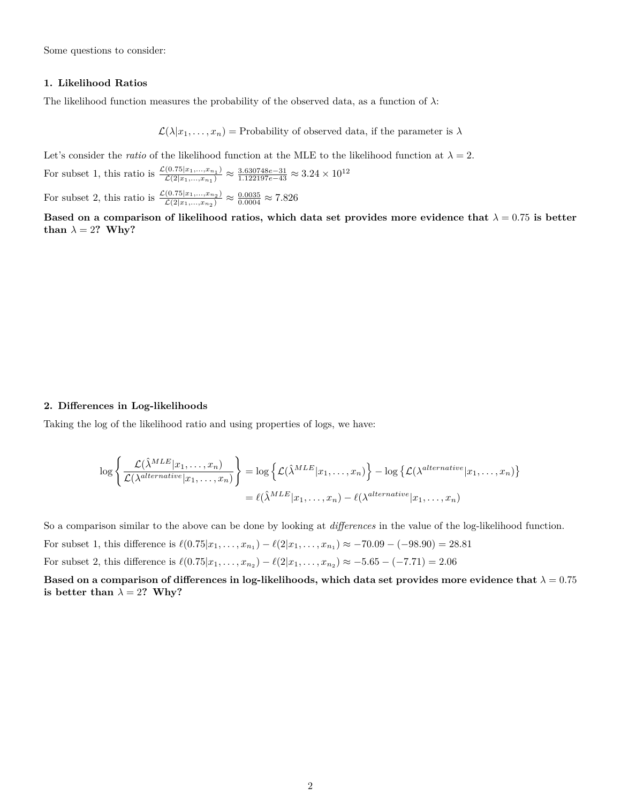Some questions to consider:

#### **1. Likelihood Ratios**

The likelihood function measures the probability of the observed data, as a function of  $\lambda$ :

 $\mathcal{L}(\lambda|x_1,\ldots,x_n)$  = Probability of observed data, if the parameter is  $\lambda$ 

Let's consider the *ratio* of the likelihood function at the MLE to the likelihood function at  $\lambda = 2$ .

For subset 1, this ratio is  $\frac{\mathcal{L}(0.75|x_1,...,x_{n_1})}{\mathcal{L}(2|x_1-x_1)}$  $\frac{(0.75|x_1,...,x_{n_1})}{\mathcal{L}(2|x_1,...,x_{n_1})}$  ≈  $\frac{3.630748e-31}{1.122197e-43}$  ≈  $3.24 \times 10^{12}$ 

For subset 2, this ratio is  $\frac{\mathcal{L}(0.75|x_1,...,x_{n_2})}{\mathcal{L}(2|x_1,x_2)}$  $\frac{(0.75|x_1,...,x_{n_2})}{\mathcal{L}(2|x_1,...,x_{n_2})} \approx \frac{0.0035}{0.0004} \approx 7.826$ 

**Based on a comparison of likelihood ratios, which data set provides more evidence that**  $\lambda = 0.75$  **is better than**  $\lambda = 2$ ? **Why**?

#### **2. Differences in Log-likelihoods**

Taking the log of the likelihood ratio and using properties of logs, we have:

$$
\log \left\{ \frac{\mathcal{L}(\hat{\lambda}^{MLE}|x_1, ..., x_n)}{\mathcal{L}(\lambda^{alternative}|x_1, ..., x_n)} \right\} = \log \left\{ \mathcal{L}(\hat{\lambda}^{MLE}|x_1, ..., x_n) \right\} - \log \left\{ \mathcal{L}(\lambda^{alternative}|x_1, ..., x_n) \right\}
$$

$$
= \ell(\hat{\lambda}^{MLE}|x_1, ..., x_n) - \ell(\lambda^{alternative}|x_1, ..., x_n)
$$

So a comparison similar to the above can be done by looking at *differences* in the value of the log-likelihood function.

For subset 1, this difference is  $\ell(0.75|x_1, \ldots, x_{n_1}) - \ell(2|x_1, \ldots, x_{n_1}) \approx -70.09 - (-98.90) = 28.81$ 

For subset 2, this difference is  $\ell(0.75|x_1, \ldots, x_{n_2}) - \ell(2|x_1, \ldots, x_{n_2}) \approx -5.65 - (-7.71) = 2.06$ 

**Based on a comparison of differences in log-likelihoods, which data set provides more evidence that**  $\lambda = 0.75$ **is better than**  $\lambda = 2$ ? Why?